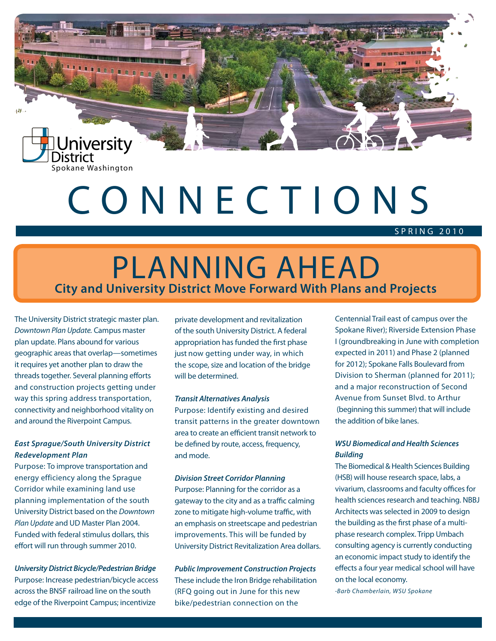

ω

# CONNECTIONS

### SPR IN G 2010

### Planning Ahead **City and University District Move Forward With Plans and Projects**

The University District strategic master plan. *Downtown Plan Update.* Campus master plan update. Plans abound for various geographic areas that overlap—sometimes it requires yet another plan to draw the threads together. Several planning efforts and construction projects getting under way this spring address transportation, connectivity and neighborhood vitality on and around the Riverpoint Campus.

### *East Sprague/South University District Redevelopment Plan*

Purpose: To improve transportation and energy efficiency along the Sprague Corridor while examining land use planning implementation of the south University District based on the *Downtown Plan Update* and UD Master Plan 2004. Funded with federal stimulus dollars, this effort will run through summer 2010.

#### *University District Bicycle/Pedestrian Bridge*

Purpose: Increase pedestrian/bicycle access across the BNSF railroad line on the south edge of the Riverpoint Campus; incentivize

private development and revitalization of the south University District. A federal appropriation has funded the first phase just now getting under way, in which the scope, size and location of the bridge will be determined.

#### *Transit Alternatives Analysis*

Purpose: Identify existing and desired transit patterns in the greater downtown area to create an efficient transit network to be defined by route, access, frequency, and mode.

#### *Division Street Corridor Planning*

Purpose: Planning for the corridor as a gateway to the city and as a traffic calming zone to mitigate high-volume traffic, with an emphasis on streetscape and pedestrian improvements. This will be funded by University District Revitalization Area dollars.

*Public Improvement Construction Projects* These include the Iron Bridge rehabilitation (RFQ going out in June for this new bike/pedestrian connection on the

Centennial Trail east of campus over the Spokane River); Riverside Extension Phase I (groundbreaking in June with completion expected in 2011) and Phase 2 (planned for 2012); Spokane Falls Boulevard from Division to Sherman (planned for 2011); and a major reconstruction of Second Avenue from Sunset Blvd. to Arthur (beginning this summer) that will include the addition of bike lanes.

### *WSU Biomedical and Health Sciences Building*

The Biomedical & Health Sciences Building (HSB) will house research space, labs, a vivarium, classrooms and faculty offices for health sciences research and teaching. NBBJ Architects was selected in 2009 to design the building as the first phase of a multiphase research complex. Tripp Umbach consulting agency is currently conducting an economic impact study to identify the effects a four year medical school will have on the local economy.

-*Barb Chamberlain, WSU Spokane*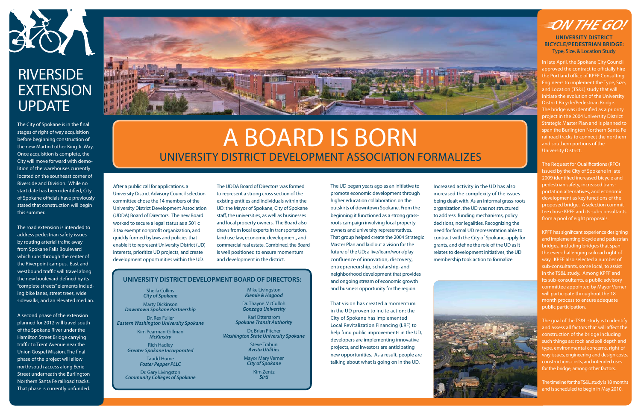

### **RIVERSIDE EXTENSION UPDATE**

# A Board is Born University District Development Association Formalizes

After a public call for applications, a University District Advisory Council selection committee chose the 14 members of the University District Development Association (UDDA) Board of Directors. The new Board worked to secure a legal status as a 501 c 3 tax exempt nonprofit organization, and quickly formed bylaws and policies that enable it to represent University District (UD) interests, prioritize UD projects, and create development opportunities within the UD.

The UDDA Board of Directors was formed to represent a strong cross section of the existing entities and individuals within the UD: the Mayor of Spokane, City of Spokane staff, the universities, as well as businesses and local property owners. The Board also draws from local experts in transportation, land use law, economic development, and commercial real estate. Combined, the Board is well positioned to ensure momentum and development in the district.

The UD began years ago as an initiative to promote economic development through higher education collaboration on the outskirts of downtown Spokane. From the beginning it functioned as a strong grassroots campaign involving local property owners and university representatives. That group helped create the 2004 Strategic Master Plan and laid out a vision for the future of the UD; a live/learn/work/play confluence of innovation, discovery, entrepreneurship, scholarship, and neighborhood development that provides and ongoing stream of economic growth and business opportunity for the region.

That vision has created a momentum in the UD proven to incite action; the City of Spokane has implemented Local Revitalization Financing (LRF) to help fund public improvements in the UD, developers are implementing innovative projects, and investors are anticipating new opportunities. As a result, people are talking about what is going on in the UD.

### **University District Development Board of Directors:**

The City of Spokane is in the final stages of right of way acquisition before beginning construction of the new Martin Luther King Jr. Way. Once acquisition is complete, the City will move forward with demolition of the warehouses currently located on the southeast corner of Riverside and Division. While no start date has been identified, City of Spokane officials have previously stated that construction will begin this summer.

The road extension is intended to address pedestrian safety issues by routing arterial traffic away from Spokane Falls Boulevard which runs through the center of the Riverpoint campus. East and westbound traffic will travel along the new boulevard defined by its "complete streets" elements including bike lanes, street trees, wide sidewalks, and an elevated median.

A second phase of the extension planned for 2012 will travel south of the Spokane River under the Hamilton Street Bridge carrying traffic to Trent Avenue near the Union Gospel Mission. The final phase of the project will allow north/south access along Eerie Street underneath the Burlington Northern Santa Fe railroad tracks. That phase is currently unfunded.



Increased activity in the UD has also increased the complexity of the issues being dealt with. As an informal grass-roots organization, the UD was not structured to address funding mechanisms, policy decisions, nor legalities. Recognizing the need for formal UD representation able to contract with the City of Spokane, apply for grants, and define the role of the UD as it relates to development initiatives, the UD membership took action to formalize.



## =ON THE GO!

Sheila Collins *City of Spokane* 

Marty Dickinson *Downtown Spokane Partnership* 

Dr. Rex Fuller *Eastern Washington University Spokane* 

> Kim Pearman-Gillman *McKinstry*

Rich Hadley *Greater Spokane Incorporated* 

> Taudd Hume *Foster Pepper PLLC*

Dr. Gary Livingston *Community Colleges of Spokane*

Mike Livingston *Kiemle & Hagood*

Dr. Thayne McCulloh *Gonzaga University*

Karl Otterstrom *Spokane Transit Authority*

Dr. Brian Pitcher *Washington State University Spokane*

> Steve Trabun *Avista Utilities*

Mayor Mary Verner *City of Spokane*

> Kim Zentz *Sirti*

In late April, the Spokane City Council approved the contract to officially hire the Portland office of KPFF Consulting Engineers to implement the Type, Size, and Location (TS&L) study that will initiate the evolution of the University District Bicycle/Pedestrian Bridge. The bridge was identified as a priority project in the 2004 University District Strategic Master Plan and is planned to span the Burlington Northern Santa Fe railroad tracks to connect the northern and southern portions of the University District.

The Request for Qualifications (RFQ) issued by the City of Spokane in late 2009 identified increased bicycle and pedestrian safety, increased transportation alternatives, and economic development as key functions of the proposed bridge. A selection committee chose KPFF and its sub-consultants from a pool of eight proposals.

KPFF has significant experience designing and implementing bicycle and pedestrian bridges, including bridges that span the ever-challenging railroad right of way. KPFF also selected a number of sub-consultants, some local, to assist in the TS&L study. Among KPFF and its sub-consultants, a public advisory committee appointed by Mayor Verner will participate throughout the 18 month process to ensure adequate public participation.

The goal of the TS&L study is to identify and assess all factors that will affect the construction of the bridge including such things as: rock and soil depth and type, environmental concerns, right of way issues, engineering and design costs, constructions costs, and intended uses for the bridge, among other factors.

The timeline for the TS&L study is 18 months and is scheduled to begin in May 2010.

**University District Bicycle/Pedestrian Bridge:** Type, Size, & Location Study